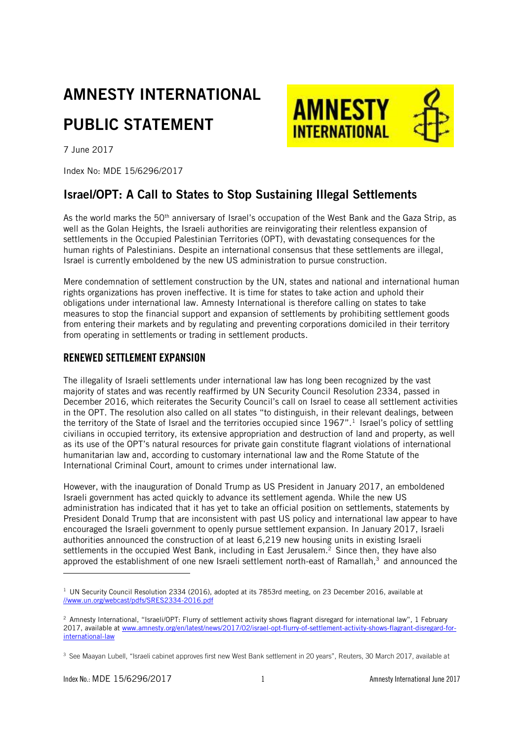# AMNESTY INTERNATIONAL PUBLIC STATEMENT



7 June 2017

Index No: MDE 15/6296/2017

## Israel/OPT: A Call to States to Stop Sustaining Illegal Settlements

As the world marks the 50<sup>th</sup> anniversary of Israel's occupation of the West Bank and the Gaza Strip, as well as the Golan Heights, the Israeli authorities are reinvigorating their relentless expansion of settlements in the Occupied Palestinian Territories (OPT), with devastating consequences for the human rights of Palestinians. Despite an international consensus that these settlements are illegal, Israel is currently emboldened by the new US administration to pursue construction.

Mere condemnation of settlement construction by the UN, states and national and international human rights organizations has proven ineffective. It is time for states to take action and uphold their obligations under international law. Amnesty International is therefore calling on states to take measures to stop the financial support and expansion of settlements by prohibiting settlement goods from entering their markets and by regulating and preventing corporations domiciled in their territory from operating in settlements or trading in settlement products.

### RENEWED SETTLEMENT EXPANSION

The illegality of Israeli settlements under international law has long been recognized by the vast majority of states and was recently reaffirmed by UN Security Council Resolution 2334, passed in December 2016, which reiterates the Security Council's call on Israel to cease all settlement activities in the OPT. The resolution also called on all states "to distinguish, in their relevant dealings, between the territory of the State of Israel and the territories occupied since 1967".<sup>1</sup> Israel's policy of settling civilians in occupied territory, its extensive appropriation and destruction of land and property, as well as its use of the OPT's natural resources for private gain constitute flagrant violations of international humanitarian law and, according to customary international law and the Rome Statute of the International Criminal Court, amount to crimes under international law.

However, with the inauguration of Donald Trump as US President in January 2017, an emboldened Israeli government has acted quickly to advance its settlement agenda. While the new US administration has indicated that it has yet to take an official position on settlements, statements by President Donald Trump that are inconsistent with past US policy and international law appear to have encouraged the Israeli government to openly pursue settlement expansion. In January 2017, Israeli authorities announced the construction of at least 6,219 new housing units in existing Israeli settlements in the occupied West Bank, including in East Jerusalem.<sup>2</sup> Since then, they have also approved the establishment of one new Israeli settlement north-east of Ramallah, <sup>3</sup> and announced the

j

 $1$  UN Security Council Resolution 2334 (2016), adopted at its 7853rd meeting, on 23 December 2016, available at <//www.un.org/webcast/pdfs/SRES2334-2016.pdf>

<sup>&</sup>lt;sup>2</sup> Amnesty International, "Israeli/OPT: Flurry of settlement activity shows flagrant disregard for international law", 1 February 2017, available a[t www.amnesty.org/en/latest/news/2017/02/israel-opt-flurry-of-settlement-activity-shows-flagrant-disregard-for](http://www.amnesty.org/en/latest/news/2017/02/israel-opt-flurry-of-settlement-activity-shows-flagrant-disregard-for-international-law)[international-law](http://www.amnesty.org/en/latest/news/2017/02/israel-opt-flurry-of-settlement-activity-shows-flagrant-disregard-for-international-law)

<sup>&</sup>lt;sup>3</sup> See Maayan Lubell, "Israeli cabinet approves first new West Bank settlement in 20 years", Reuters, 30 March 2017, available at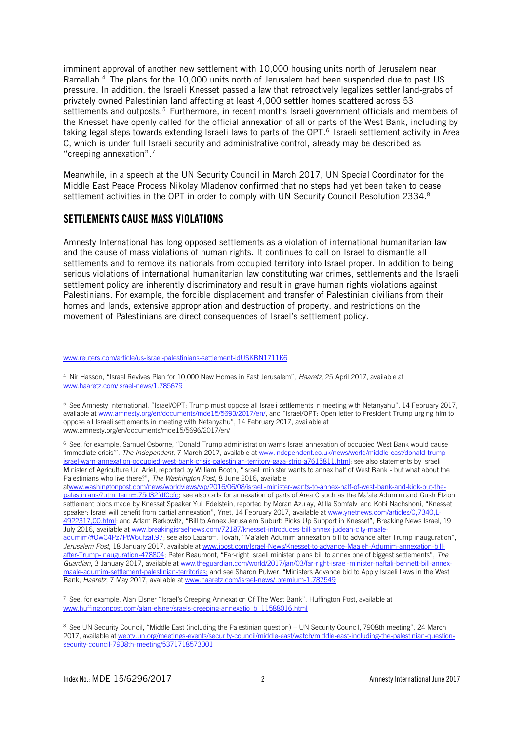imminent approval of another new settlement with 10,000 housing units north of Jerusalem near Ramallah.<sup>4</sup> The plans for the 10,000 units north of Jerusalem had been suspended due to past US pressure. In addition, the Israeli Knesset passed a law that retroactively legalizes settler land-grabs of privately owned Palestinian land affecting at least 4,000 settler homes scattered across 53 settlements and outposts.<sup>5</sup> Furthermore, in recent months Israeli government officials and members of the Knesset have openly called for the official annexation of all or parts of the West Bank, including by taking legal steps towards extending Israeli laws to parts of the OPT. 6 Israeli settlement activity in Area C, which is under full Israeli security and administrative control, already may be described as "creeping annexation". 7

Meanwhile, in a speech at the UN Security Council in March 2017, UN Special Coordinator for the Middle East Peace Process Nikolay Mladenov confirmed that no steps had yet been taken to cease settlement activities in the OPT in order to comply with UN Security Council Resolution 2334.<sup>8</sup>

#### SETTLEMENTS CAUSE MASS VIOLATIONS

j

Amnesty International has long opposed settlements as a violation of international humanitarian law and the cause of mass violations of human rights. It continues to call on Israel to dismantle all settlements and to remove its nationals from occupied territory into Israel proper. In addition to being serious violations of international humanitarian law constituting war crimes, settlements and the Israeli settlement policy are inherently discriminatory and result in grave human rights violations against Palestinians. For example, the forcible displacement and transfer of Palestinian civilians from their homes and lands, extensive appropriation and destruction of property, and restrictions on the movement of Palestinians are direct consequences of Israel's settlement policy.

[atwww.washingtonpost.com/news/worldviews/wp/2016/06/08/israeli-minister-wants-to-annex-half-of-west-bank-and-kick-out-the](https://www.washingtonpost.com/news/worldviews/wp/2016/06/08/israeli-minister-wants-to-annex-half-of-west-bank-and-kick-out-the-palestinians/?utm_term=.75d32fdf0cfc)[palestinians/?utm\\_term=.75d32fdf0cfc](https://www.washingtonpost.com/news/worldviews/wp/2016/06/08/israeli-minister-wants-to-annex-half-of-west-bank-and-kick-out-the-palestinians/?utm_term=.75d32fdf0cfc); see also calls for annexation of parts of Area C such as the Ma'ale Adumim and Gush Etzion settlement blocs made by Knesset Speaker Yuli Edelstein, reported by Moran Azulay, Atilla Somfalvi and Kobi Nachshoni, "Knesset speaker: Israel will benefit from partial annexation", Ynet, 14 February 2017, available at www.ynetnews.com/articles/0.7340.L-[4922317,00.html;](file://///intsec.amnesty.org/data/users/lina.fattom/Desktop/www.ynetnews.com/articles/0,7340,L-4922317,00.html) and Adam Berkowitz, "Bill to Annex Jerusalem Suburb Picks Up Support in Knesset", Breaking News Israel, 19 July 2016, available at [www.breakingisraelnews.com/72187/knesset-introduces-bill-annex-judean-city-maale-](https://www.breakingisraelnews.com/72187/knesset-introduces-bill-annex-judean-city-maale-adumim/#OwC4Pz7PtW6ufzaI.97)

[www.reuters.com/article/us-israel-palestinians-settlement-idUSKBN1711K6](http://www.reuters.com/article/us-israel-palestinians-settlement-idUSKBN1711K6)

<sup>4</sup> Nir Hasson, "Israel Revives Plan for 10,000 New Homes in East Jerusalem", *Haaretz*, 25 April 2017, available at [www.haaretz.com/israel-news/1.785679](http://www.haaretz.com/israel-news/1.785679)

<sup>5</sup> See Amnesty International, "Israel/OPT: Trump must oppose all Israeli settlements in meeting with Netanyahu", 14 February 2017, available at [www.amnesty.org/en/documents/mde15/5693/2017/en/,](http://www.amnesty.org/en/documents/mde15/5693/2017/en/) and "Israel/OPT: Open letter to President Trump urging him to oppose all Israeli settlements in meeting with Netanyahu", 14 February 2017, available at www.amnesty.org/en/documents/mde15/5696/2017/en/

<sup>6</sup> See, for example, Samuel Osborne, "Donald Trump administration warns Israel annexation of occupied West Bank would cause 'immediate crisis'", *The Independent*, 7 March 2017, available a[t www.independent.co.uk/news/world/middle-east/donald-trump](http://www.independent.co.uk/news/world/middle-east/donald-trump-israel-warn-annexation-occupied-west-bank-crisis-palestinian-territory-gaza-strip-a7615811.html)[israel-warn-annexation-occupied-west-bank-crisis-palestinian-territory-gaza-strip-a7615811.html;](http://www.independent.co.uk/news/world/middle-east/donald-trump-israel-warn-annexation-occupied-west-bank-crisis-palestinian-territory-gaza-strip-a7615811.html) see also statements by Israeli Minister of Agriculture Uri Ariel, reported by William Booth, "Israeli minister wants to annex half of West Bank - but what about the Palestinians who live there?", *The Washington Post*, 8 June 2016, available

[adumim/#OwC4Pz7PtW6ufzaI.97;](https://www.breakingisraelnews.com/72187/knesset-introduces-bill-annex-judean-city-maale-adumim/#OwC4Pz7PtW6ufzaI.97) see also Lazaroff, Tovah, "Ma'aleh Adumim annexation bill to advance after Trump inauguration", *Jerusalem Post*, 18 January 2017, available at [www.jpost.com/Israel-News/Knesset-to-advance-Maaleh-Adumim-annexation-bill](http://www.jpost.com/Israel-News/Knesset-to-advance-Maaleh-Adumim-annexation-bill-after-Trump-inauguration-478804)[after-Trump-inauguration-478804](http://www.jpost.com/Israel-News/Knesset-to-advance-Maaleh-Adumim-annexation-bill-after-Trump-inauguration-478804); Peter Beaumont, "Far-right Israeli minister plans bill to annex one of biggest settlements", *The Guardian*, 3 January 2017, available at [www.theguardian.com/world/2017/jan/03/far-right-israel-minister-naftali-bennett-bill-annex](https://www.theguardian.com/world/2017/jan/03/far-right-israel-minister-naftali-bennett-bill-annex-maale-adumim-settlement-palestinian-territories)[maale-adumim-settlement-palestinian-territories;](https://www.theguardian.com/world/2017/jan/03/far-right-israel-minister-naftali-bennett-bill-annex-maale-adumim-settlement-palestinian-territories) and see Sharon Pulwer, "Ministers Advance bid to Apply Israeli Laws in the West Bank, *Haaretz*, 7 May 2017, available a[t www.haaretz.com/israel-news/.premium-1.787549](file://///intsec.amnesty.org/data/users/lina.fattom/Desktop/www.haaretz.com/israel-news/.premium-1.787549)

<sup>7</sup> See, for example, Alan Elsner "Israel's Creeping Annexation Of The West Bank", Huffington Post, available at [www.huffingtonpost.com/alan-elsner/sraels-creeping-annexatio\\_b\\_11588016.html](http://www.huffingtonpost.com/alan-elsner/sraels-creeping-annexatio_b_11588016.html)

<sup>8</sup> See UN Security Council, "Middle East (including the Palestinian question) – UN Security Council, 7908th meeting", 24 March 2017, available a[t webtv.un.org/meetings-events/security-council/middle-east/watch/middle-east-including-the-palestinian-question](http://webtv.un.org/meetings-events/security-council/middle-east/watch/middle-east-including-the-palestinian-question-security-council-7908th-meeting/5371718573001)[security-council-7908th-meeting/5371718573001](http://webtv.un.org/meetings-events/security-council/middle-east/watch/middle-east-including-the-palestinian-question-security-council-7908th-meeting/5371718573001)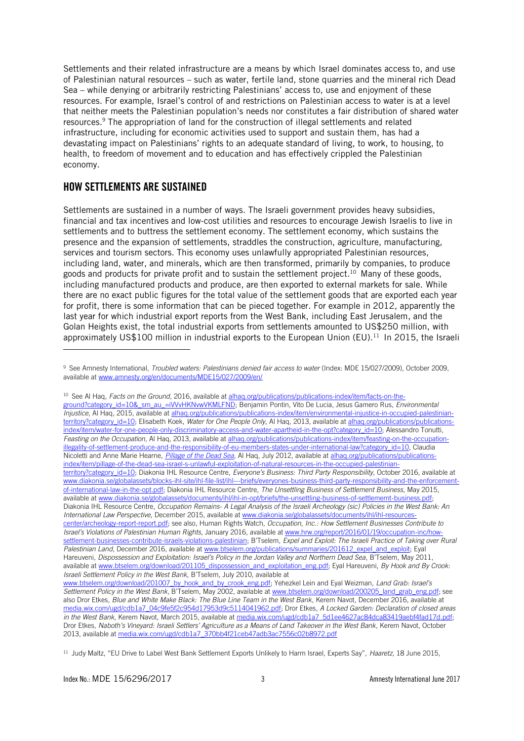Settlements and their related infrastructure are a means by which Israel dominates access to, and use of Palestinian natural resources – such as water, fertile land, stone quarries and the mineral rich Dead Sea – while denying or arbitrarily restricting Palestinians' access to, use and enjoyment of these resources. For example, Israel's control of and restrictions on Palestinian access to water is at a level that neither meets the Palestinian population's needs nor constitutes a fair distribution of shared water resources. <sup>9</sup> The appropriation of land for the construction of illegal settlements and related infrastructure, including for economic activities used to support and sustain them, has had a devastating impact on Palestinians' rights to an adequate standard of living, to work, to housing, to health, to freedom of movement and to education and has effectively crippled the Palestinian economy.

#### HOW SETTLEMENTS ARE SUSTAINED

j

Settlements are sustained in a number of ways. The Israeli government provides heavy subsidies, financial and tax incentives and low-cost utilities and resources to encourage Jewish Israelis to live in settlements and to buttress the settlement economy. The settlement economy, which sustains the presence and the expansion of settlements, straddles the construction, agriculture, manufacturing, services and tourism sectors. This economy uses unlawfully appropriated Palestinian resources, including land, water, and minerals, which are then transformed, primarily by companies, to produce goods and products for private profit and to sustain the settlement project.<sup>10</sup> Many of these goods, including manufactured products and produce, are then exported to external markets for sale. While there are no exact public figures for the total value of the settlement goods that are exported each year for profit, there is some information that can be pieced together. For example in 2012, apparently the last year for which industrial export reports from the West Bank, including East Jerusalem, and the Golan Heights exist, the total industrial exports from settlements amounted to US\$250 million, with approximately US\$100 million in industrial exports to the European Union (EU).<sup>11</sup> In 2015, the Israeli

<sup>10</sup> See Al Haq, *Facts on the Ground*, 2016, available at [alhaq.org/publications/publications-index/item/facts-on-the](http://alhaq.org/publications/publications-index/item/facts-on-the-ground?category_id=10&_sm_au_=iVVvHKNvwVKMLFND)[ground?category\\_id=10&\\_sm\\_au\\_=iVVvHKNvwVKMLFND;](http://alhaq.org/publications/publications-index/item/facts-on-the-ground?category_id=10&_sm_au_=iVVvHKNvwVKMLFND) Benjamin Pontin, Vito De Lucia, Jesus Gamero Rus, *Environmental Injustice*, Al Haq, 2015, available a[t alhaq.org/publications/publications-index/item/environmental-injustice-in-occupied-palestinian](http://alhaq.org/publications/publications-index/item/environmental-injustice-in-occupied-palestinian-territory?category_id=10)[territory?category\\_id=10;](http://alhaq.org/publications/publications-index/item/environmental-injustice-in-occupied-palestinian-territory?category_id=10) Elisabeth Koek, Water for One People Only, Al Haq, 2013, available a[t alhaq.org/publications/publications](http://alhaq.org/publications/publications-index/item/water-for-one-people-only-discriminatory-access-and-water-apartheid-in-the-opt?category_id=10)[index/item/water-for-one-people-only-discriminatory-access-and-water-apartheid-in-the-opt?category\\_id=10;](http://alhaq.org/publications/publications-index/item/water-for-one-people-only-discriminatory-access-and-water-apartheid-in-the-opt?category_id=10) Alessandro Tonutti, *Feasting on the Occupation*, Al Haq, 2013, available at [alhaq.org/publications/publications-index/item/feasting-on-the-occupation](http://alhaq.org/publications/publications-index/item/feasting-on-the-occupation-illegality-of-settlement-produce-and-the-responsibility-of-eu-members-states-under-international-law?category_id=10)[illegality-of-settlement-produce-and-the-responsibility-of-eu-members-states-under-international-law?category\\_id=10,](http://alhaq.org/publications/publications-index/item/feasting-on-the-occupation-illegality-of-settlement-produce-and-the-responsibility-of-eu-members-states-under-international-law?category_id=10) Claudia Nicoletti and Anne Marie Hearne, *[Pillage of the Dead Sea](http://alhaq.org/publications/publications-index/item/pillage-of-the-dead-sea-israel-s-unlawful-exploitation-of-natural-resources-in-the-occupied-palestinian-territory?category_id=10)*, Al Haq, July 2012, available a[t alhaq.org/publications/publications](http://alhaq.org/publications/publications-index/item/pillage-of-the-dead-sea-israel-s-unlawful-exploitation-of-natural-resources-in-the-occupied-palestinian-territory?category_id=10)[index/item/pillage-of-the-dead-sea-israel-s-unlawful-exploitation-of-natural-resources-in-the-occupied-palestinian](http://alhaq.org/publications/publications-index/item/pillage-of-the-dead-sea-israel-s-unlawful-exploitation-of-natural-resources-in-the-occupied-palestinian-territory?category_id=10)[territory?category\\_id=10;](http://alhaq.org/publications/publications-index/item/pillage-of-the-dead-sea-israel-s-unlawful-exploitation-of-natural-resources-in-the-occupied-palestinian-territory?category_id=10) Diakonia IHL Resource Centre, *Everyone's Business: Third Party Responsibility*, October 2016, available at [www.diakonia.se/globalassets/blocks-ihl-site/ihl-file-list/ihl---briefs/everyones-business-third-party-responsibility-and-the-enforcement](https://www.diakonia.se/globalassets/blocks-ihl-site/ihl-file-list/ihl---briefs/everyones-business-third-party-responsibility-and-the-enforcement-of-international-law-in-the-opt.pdf)[of-international-law-in-the-opt.pdf;](https://www.diakonia.se/globalassets/blocks-ihl-site/ihl-file-list/ihl---briefs/everyones-business-third-party-responsibility-and-the-enforcement-of-international-law-in-the-opt.pdf) Diakonia IHL Resource Centre, *The Unsettling Business of Settlement Business*, May 2015, available at [www.diakonia.se/globalassets/documents/ihl/ihl-in-opt/briefs/the-unsettling-business-of-settlememt-business.pdf;](https://www.diakonia.se/globalassets/documents/ihl/ihl-in-opt/briefs/the-unsettling-business-of-settlememt-business.pdf) Diakonia IHL Resource Centre, *Occupation Remains- A Legal Analysis of the Israeli Archeology (sic) Policies in the West Bank: An International Law Perspective*, December 2015, available a[t www.diakonia.se/globalassets/documents/ihl/ihl-resources](https://www.diakonia.se/globalassets/documents/ihl/ihl-resources-center/archeology-report-report.pdf)[center/archeology-report-report.pdf;](https://www.diakonia.se/globalassets/documents/ihl/ihl-resources-center/archeology-report-report.pdf) see also, Human Rights Watch, *Occupation, Inc*.*: How Settlement Businesses Contribute to Israel's Violations of Palestinian Human Rights*, January 2016, available at [www.hrw.org/report/2016/01/19/occupation-inc/how](https://www.hrw.org/report/2016/01/19/occupation-inc/how-settlement-businesses-contribute-israels-violations-palestinian)[settlement-businesses-contribute-israels-violations-palestinian](https://www.hrw.org/report/2016/01/19/occupation-inc/how-settlement-businesses-contribute-israels-violations-palestinian); B'Tselem, *Expel and Exploit: The Israeli Practice of Taking over Rural Palestinian Land*, December 2016, available at [www.btselem.org/publications/summaries/201612\\_expel\\_and\\_exploit;](http://www.btselem.org/publications/summaries/201612_expel_and_exploit) Eyal Hareuveni, *Dispossession and Exploitation: Israel's Policy in the Jordan Valley and Northern Dead Sea*, B'Tselem, May 2011, available at [www.btselem.org/download/201105\\_dispossession\\_and\\_exploitation\\_eng.pdf;](https://www.btselem.org/download/201105_dispossession_and_exploitation_eng.pdf) Eyal Hareuveni, *By Hook and By Crook: Israeli Settlement Policy in the West Bank*, B'Tselem, July 2010, available at [www.btselem.org/download/201007\\_by\\_hook\\_and\\_by\\_crook\\_eng.pdf;](http://www.btselem.org/download/201007_by_hook_and_by_crook_eng.pdf) Yehezkel Lein and Eyal Weizman, *Land Grab: Israel's Settlement Policy in the West Bank*, B'Tselem, May 2002, available a[t www.btselem.org/download/200205\\_land\\_grab\\_eng.pdf;](http://www.btselem.org/download/200205_land_grab_eng.pdf) see also Dror Etkes*, Blue and White Make Black: The Blue Line Team in the West Bank*, Kerem Navot, December 2016, available at

<sup>9</sup> See Amnesty International, *Troubled waters: Palestinians denied fair access to water* (Index: MDE 15/027/2009), October 2009, available at [www.amnesty.org/en/documents/MDE15/027/2009/en/](https://www.amnesty.org/en/documents/MDE15/027/2009/en/)

[media.wix.com/ugd/cdb1a7\\_04c9fe5f2c954d17953d9c5114041962.pdf;](http://media.wix.com/ugd/cdb1a7_04c9fe5f2c954d17953d9c5114041962.pdf) Dror Etkes*, A Locked Garden: Declaration of closed areas in the West Bank*, Kerem Navot, March 2015, available at [media.wix.com/ugd/cdb1a7\\_5d1ee4627ac84dca83419aebf4fad17d.pdf;](http://media.wix.com/ugd/cdb1a7_5d1ee4627ac84dca83419aebf4fad17d.pdf) Dror Etkes, *Naboth's Vineyard: Israeli Settlers' Agriculture as a Means of Land Takeover in the West Bank*, Kerem Navot, October 2013, available a[t media.wix.com/ugd/cdb1a7\\_370bb4f21ceb47adb3ac7556c02b8972.pdf](http://media.wix.com/ugd/cdb1a7_370bb4f21ceb47adb3ac7556c02b8972.pdf)

<sup>11</sup> Judy Maltz, "EU Drive to Label West Bank Settlement Exports Unlikely to Harm Israel, Experts Say", *Haaretz*, 18 June 2015,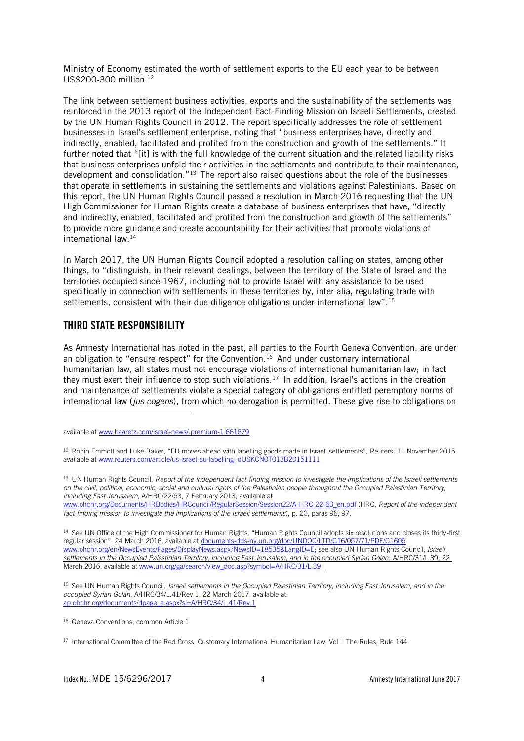Ministry of Economy estimated the worth of settlement exports to the EU each year to be between US\$200-300 million. 12

The link between settlement business activities, exports and the sustainability of the settlements was reinforced in the 2013 report of the Independent Fact-Finding Mission on Israeli Settlements, created by the UN Human Rights Council in 2012. The report specifically addresses the role of settlement businesses in Israel's settlement enterprise, noting that "business enterprises have, directly and indirectly, enabled, facilitated and profited from the construction and growth of the settlements." It further noted that "[it] is with the full knowledge of the current situation and the related liability risks that business enterprises unfold their activities in the settlements and contribute to their maintenance, development and consolidation."<sup>13</sup> The report also raised questions about the role of the businesses that operate in settlements in sustaining the settlements and violations against Palestinians. Based on this report, the UN Human Rights Council passed a resolution in March 2016 requesting that the UN High Commissioner for Human Rights create a database of business enterprises that have, "directly and indirectly, enabled, facilitated and profited from the construction and growth of the settlements" to provide more guidance and create accountability for their activities that promote violations of international law.<sup>14</sup>

In March 2017, the UN Human Rights Council adopted a resolution calling on states, among other things, to "distinguish, in their relevant dealings, between the territory of the State of Israel and the territories occupied since 1967, including not to provide Israel with any assistance to be used specifically in connection with settlements in these territories by, inter alia, regulating trade with settlements, consistent with their due diligence obligations under international law".<sup>15</sup>

#### THIRD STATE RESPONSIBILITY

j

As Amnesty International has noted in the past, all parties to the Fourth Geneva Convention, are under an obligation to "ensure respect" for the Convention.<sup>16</sup> And under customary international humanitarian law, all states must not encourage violations of international humanitarian law; in fact they must exert their influence to stop such violations.<sup>17</sup> In addition, Israel's actions in the creation and maintenance of settlements violate a special category of obligations entitled peremptory norms of international law (*jus cogens*), from which no derogation is permitted. These give rise to obligations on

<sup>12</sup> Robin Emmott and Luke Baker, "EU moves ahead with labelling goods made in Israeli settlements", Reuters, 11 November 2015 available at [www.reuters.com/article/us-israel-eu-labelling-idUSKCN0T013B20151111](http://www.reuters.com/article/us-israel-eu-labelling-idUSKCN0T013B20151111)

<sup>13</sup> UN Human Rights Council, *Report of the independent fact-finding mission to investigate the implications of the Israeli settlements on the civil, political, economic, social and cultural rights of the Palestinian people throughout the Occupied Palestinian Territory, including East Jerusalem*, A/HRC/22/63, 7 February 2013, available at

[www.ohchr.org/Documents/HRBodies/HRCouncil/RegularSession/Session22/A-HRC-22-63\\_en.pdf](http://www.ohchr.org/Documents/HRBodies/HRCouncil/RegularSession/Session22/A-HRC-22-63_en.pdf) (HRC, *Report of the independent fact-finding mission to investigate the implications of the Israeli settlements*), p. 20, paras 96, 97.

<sup>14</sup> See UN Office of the High Commissioner for Human Rights, "Human Rights Council adopts six resolutions and closes its thirty-first regular session", 24 March 2016, available at [documents-dds-ny.un.org/doc/UNDOC/LTD/G16/057/71/PDF/G1605](https://documents-dds-ny.un.org/doc/UNDOC/LTD/G16/057/71/PDF/G1605771.pdf?OpenElement) [www.ohchr.org/en/NewsEvents/Pages/DisplayNews.aspx?NewsID=18535&LangID=E;](https://documents-dds-ny.un.org/doc/UNDOC/LTD/G16/057/71/PDF/G1605771.pdf?OpenElement) see also UN Human Rights Council, *Israeli settlements in the Occupied Palestinian Territory, including East Jerusalem, and in the occupied Syrian Golan*, A/HRC/31/L.39, 22 March 2016, available a[t www.un.org/ga/search/view\\_doc.asp?symbol=A/HRC/31/L.39](http://www.un.org/ga/search/view_doc.asp?symbol=A/HRC/31/L.39)

<sup>15</sup> See UN Human Rights Council, *Israeli settlements in the Occupied Palestinian Territory, including East Jerusalem, and in the occupied Syrian Golan*, A/HRC/34/L.41/Rev.1, 22 March 2017, available at: [ap.ohchr.org/documents/dpage\\_e.aspx?si=A/HRC/34/L.41/Rev.1](http://ap.ohchr.org/documents/dpage_e.aspx?si=A/HRC/34/L.41/Rev.1)

<sup>16</sup> Geneva Conventions, common Article 1

available at [www.haaretz.com/israel-news/.premium-1.661679](http://www.haaretz.com/israel-news/.premium-1.661679)

<sup>&</sup>lt;sup>17</sup> International Committee of the Red Cross, Customary International Humanitarian Law, Vol I: The Rules, Rule 144.